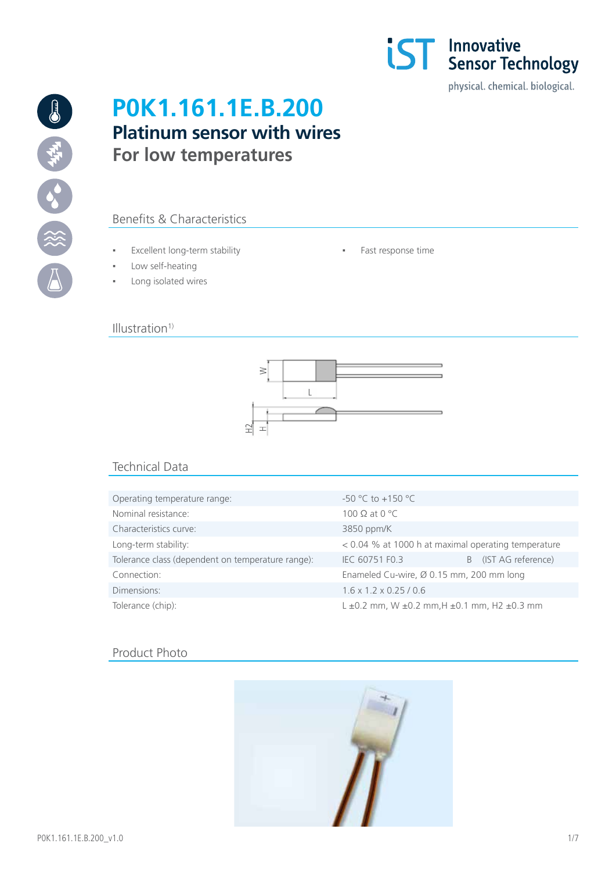

# **P0K1.161.1E.B.200 Platinum sensor with wires For low temperatures**

# Benefits & Characteristics

- Excellent long-term stability Fast response time
- Low self-heating
- Long isolated wires

## $Illustration<sup>1</sup>$



## Technical Data

| Operating temperature range:                      | $-50$ °C to $+150$ °C                                           |                      |
|---------------------------------------------------|-----------------------------------------------------------------|----------------------|
| Nominal resistance:                               | 100 $\Omega$ at 0 °C                                            |                      |
| Characteristics curve:                            | 3850 ppm/K                                                      |                      |
| Long-term stability:                              | < 0.04 % at 1000 h at maximal operating temperature             |                      |
| Tolerance class (dependent on temperature range): | IEC 60751 F0.3                                                  | B (IST AG reference) |
| Connection:                                       | Enameled Cu-wire, Ø 0.15 mm, 200 mm long                        |                      |
| Dimensions:                                       | $1.6 \times 1.2 \times 0.25 / 0.6$                              |                      |
| Tolerance (chip):                                 | $L \pm 0.2$ mm, W $\pm 0.2$ mm, H $\pm 0.1$ mm, H2 $\pm 0.3$ mm |                      |

## Product Photo

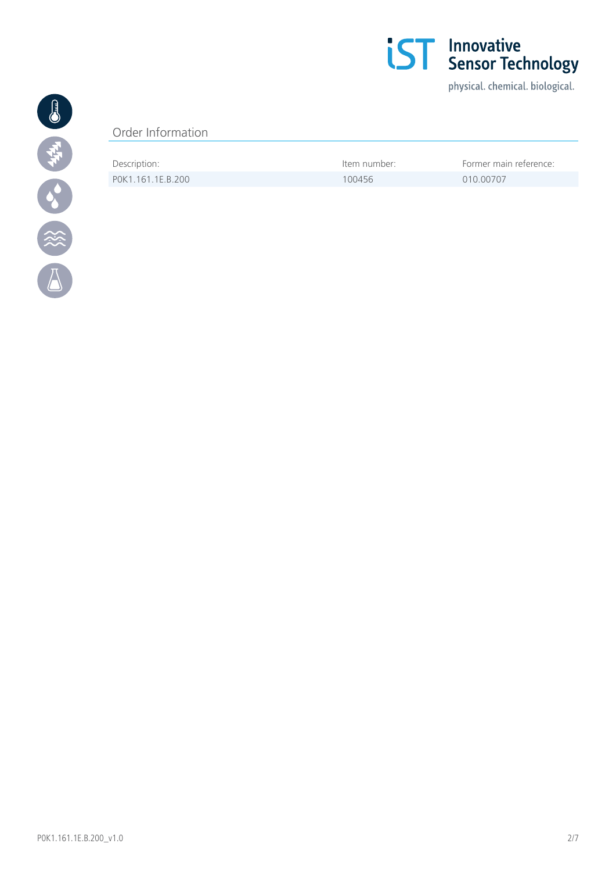

physical. chemical. biological.



## Order Information

| Description:      | tem number: | Former main reference: |
|-------------------|-------------|------------------------|
| POK1.161.1E.B.200 | 100456      | 010.00707              |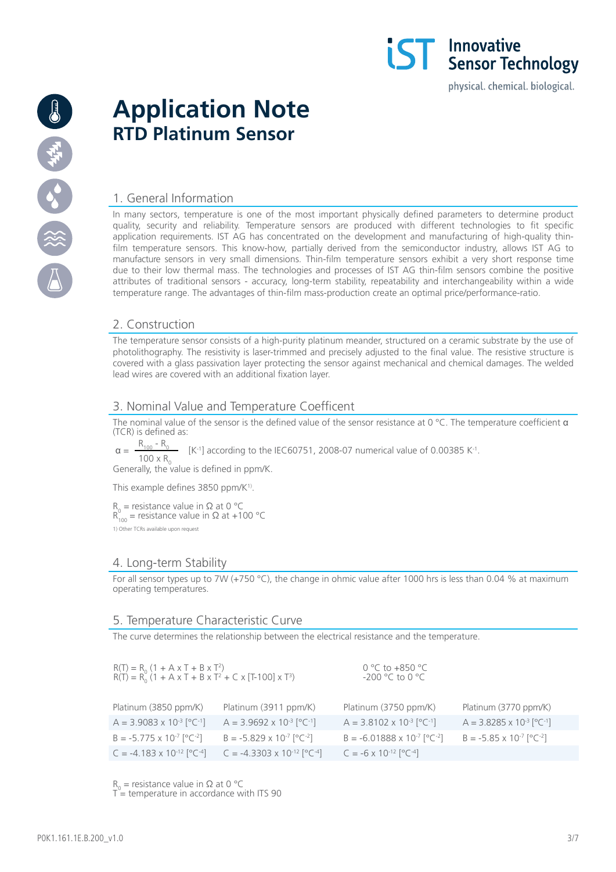

# **Application Note RTD Platinum Sensor**

## 1. General Information

In many sectors, temperature is one of the most important physically defined parameters to determine product quality, security and reliability. Temperature sensors are produced with different technologies to fit specific application requirements. IST AG has concentrated on the development and manufacturing of high-quality thinfilm temperature sensors. This know-how, partially derived from the semiconductor industry, allows IST AG to manufacture sensors in very small dimensions. Thin-film temperature sensors exhibit a very short response time due to their low thermal mass. The technologies and processes of IST AG thin-film sensors combine the positive attributes of traditional sensors - accuracy, long-term stability, repeatability and interchangeability within a wide temperature range. The advantages of thin-film mass-production create an optimal price/performance-ratio.

**IST** Innovative<br>**IST** Sensor Technology

physical. chemical. biological.

## 2. Construction

The temperature sensor consists of a high-purity platinum meander, structured on a ceramic substrate by the use of photolithography. The resistivity is laser-trimmed and precisely adjusted to the final value. The resistive structure is covered with a glass passivation layer protecting the sensor against mechanical and chemical damages. The welded lead wires are covered with an additional fixation layer.

## 3. Nominal Value and Temperature Coefficent

The nominal value of the sensor is the defined value of the sensor resistance at 0 °C. The temperature coefficient  $\alpha$ (TCR) is defined as:

 $\alpha = \frac{R_{100} - R_0}{R_{100} - R_0}$  [K<sup>-1</sup>] according to the IEC60751, 2008-07 numerical value of 0.00385 K<sup>-1</sup>.  $100 \times R_{0}$ 

Generally, the value is defined in ppm/K.

This example defines 3850 ppm/K<sup>1)</sup>.

 $R_0$  = resistance value in Ω at 0 °C  $R_{100}^{0}$  = resistance value in  $\Omega$  at +100 °C 1) Other TCRs available upon request

## 4. Long-term Stability

For all sensor types up to 7W (+750 °C), the change in ohmic value after 1000 hrs is less than 0.04 % at maximum operating temperatures.

## 5. Temperature Characteristic Curve

The curve determines the relationship between the electrical resistance and the temperature.

| $R(T) = R_0 (1 + A \times T + B \times T^2)$<br>$R(T) = R_0 (1 + A \times T + B \times T^2 + C \times [T \cdot 100] \times T^3)$ |                                                 | 0 °C to +850 °C<br>$-200$ °C to 0 °C            |                                                 |
|----------------------------------------------------------------------------------------------------------------------------------|-------------------------------------------------|-------------------------------------------------|-------------------------------------------------|
| Platinum (3850 ppm/K)                                                                                                            | Platinum (3911 ppm/K)                           | Platinum (3750 ppm/K)                           | Platinum (3770 ppm/K)                           |
| $A = 3.9083 \times 10^{-3} [^{\circ}C^{-1}]$                                                                                     | $A = 3.9692 \times 10^{-3} [^{\circ}C^{-1}]$    | $A = 3.8102 \times 10^{-3}$ [°C <sup>-1</sup> ] | $A = 3.8285 \times 10^{-3}$ [°C <sup>-1</sup> ] |
| $B = -5.775 \times 10^{-7} [^{\circ}C^{-2}]$                                                                                     | $B = -5.829 \times 10^{-7}$ [°C <sup>-2</sup> ] | $B = -6.01888 \times 10^{-7}$ [°C-2]            | $B = -5.85 \times 10^{-7}$ [°C <sup>-2</sup> ]  |
| $C = -4.183 \times 10^{-12} [^{\circ}C^{-4}]$                                                                                    | $C = -4.3303 \times 10^{-12} [^{\circ}C^{-4}]$  | $C = -6 \times 10^{-12} [^{\circ}C^{-4}]$       |                                                 |

 $R_0$  = resistance value in Ω at 0 °C

 $T$  = temperature in accordance with ITS 90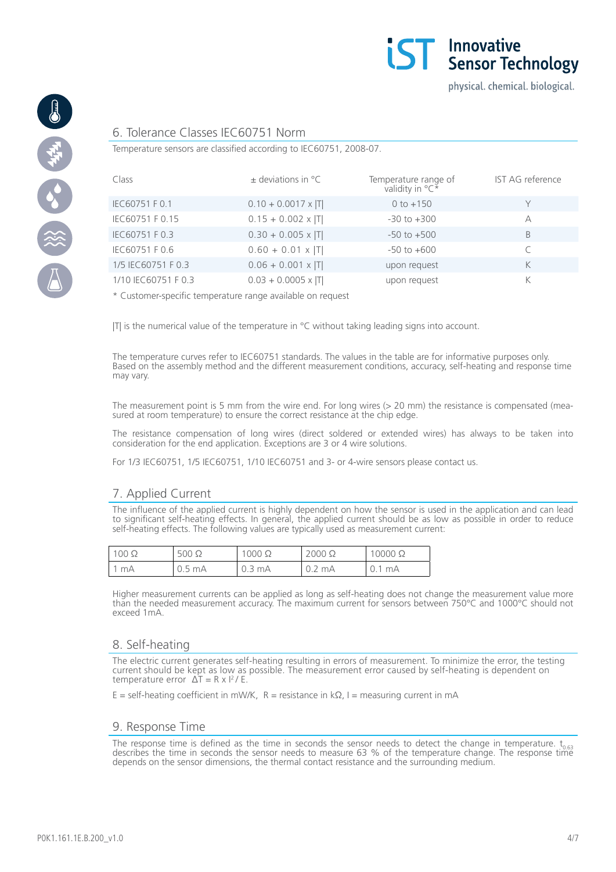



#### 6. Tolerance Classes IEC60751 Norm

Temperature sensors are classified according to IEC60751, 2008-07.

| Class               | $\pm$ deviations in $^{\circ}$ C | Temperature range of<br>validity in ${}^{\circ}C^*$ | IST AG reference |
|---------------------|----------------------------------|-----------------------------------------------------|------------------|
| IEC60751 F 0.1      | $0.10 + 0.0017 \times  T $       | $0 to +150$                                         |                  |
| IEC60751 F 0.15     | $0.15 + 0.002 \times  T $        | $-30$ to $+300$                                     | А                |
| IEC60751 F 0.3      | $0.30 + 0.005 \times  T $        | $-50$ to $+500$                                     | B                |
| IEC60751 F 0.6      | $0.60 + 0.01 \times  T $         | $-50$ to $+600$                                     |                  |
| 1/5 IEC60751 F 0.3  | $0.06 + 0.001 \times  T $        | upon request                                        | K                |
| 1/10 IEC60751 F 0.3 | $0.03 + 0.0005 \times  T $       | upon request                                        | K                |

\* Customer-specific temperature range available on request

ITI is the numerical value of the temperature in  $\degree$ C without taking leading signs into account.

The temperature curves refer to IEC60751 standards. The values in the table are for informative purposes only. Based on the assembly method and the different measurement conditions, accuracy, self-heating and response time may vary.

The measurement point is 5 mm from the wire end. For long wires (> 20 mm) the resistance is compensated (measured at room temperature) to ensure the correct resistance at the chip edge.

The resistance compensation of long wires (direct soldered or extended wires) has always to be taken into consideration for the end application. Exceptions are 3 or 4 wire solutions.

For 1/3 IEC60751, 1/5 IEC60751, 1/10 IEC60751 and 3- or 4-wire sensors please contact us.

## 7. Applied Current

The influence of the applied current is highly dependent on how the sensor is used in the application and can lead to significant self-heating effects. In general, the applied current should be as low as possible in order to reduce self-heating effects. The following values are typically used as measurement current:

| $100\ \Omega$ | $500 \Omega$           | $000 \Omega$ | $2000 \Omega$ | $10000 \Omega$ |
|---------------|------------------------|--------------|---------------|----------------|
| mA            | $.5 \text{ mA}$<br>U.J | 0.3 mA       | mA<br>◡.∠     | mA<br>◡. ।     |

Higher measurement currents can be applied as long as self-heating does not change the measurement value more than the needed measurement accuracy. The maximum current for sensors between 750°C and 1000°C should not exceed 1mA.

#### 8. Self-heating

The electric current generates self-heating resulting in errors of measurement. To minimize the error, the testing current should be kept as low as possible. The measurement error caused by self-heating is dependent on temperature error  $\Delta T = R \times I^2 / E$ 

 $E = self\text{-}heating coefficient in mW/K, R = resistance in kΩ, I = measuring current in mA$ 

#### 9. Response Time

The response time is defined as the time in seconds the sensor needs to detect the change in temperature.  $t_{0.63}$  describes the time in seconds the sensor needs to measure 63 % of the temperature change. The response ti depends on the sensor dimensions, the thermal contact resistance and the surrounding medium.

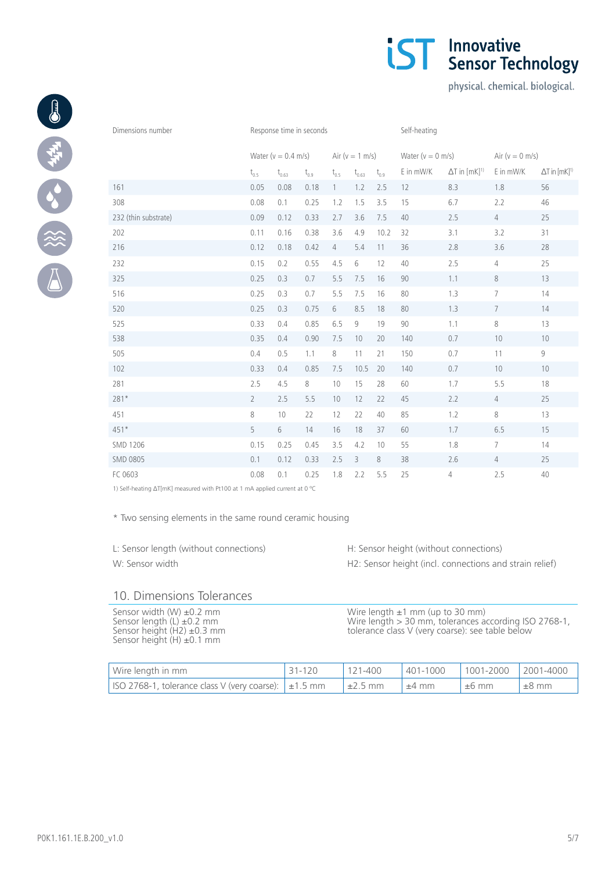|                      | Water ( $v = 0.4$ m/s)<br>Air ( $v = 1$ m/s) |                   |           | Water ( $v = 0$ m/s) |            | Air ( $v = 0$ m/s) |           |                                    |                 |                                    |
|----------------------|----------------------------------------------|-------------------|-----------|----------------------|------------|--------------------|-----------|------------------------------------|-----------------|------------------------------------|
|                      | $\rm t_{0.5}$                                | $\rm t_{_{0.63}}$ | $t_{0.9}$ | $t_{0.5}$            | $t_{0.63}$ | $t_{0.9}$          | E in mW/K | $\Delta T$ in $[mK]$ <sup>1)</sup> | E in mW/K       | $\Delta T$ in $[mK]$ <sup>1)</sup> |
| 161                  | 0.05                                         | 0.08              | 0.18      | $\left  \right $     | 1.2        | 2.5                | 12        | 8.3                                | 1.8             | 56                                 |
| 308                  | 0.08                                         | 0.1               | 0.25      | 1.2                  | 1.5        | 3.5                | 15        | 6.7                                | 2.2             | 46                                 |
| 232 (thin substrate) | 0.09                                         | 0.12              | 0.33      | 2.7                  | 3.6        | 7.5                | 40        | 2.5                                | $\overline{4}$  | 25                                 |
| 202                  | 0.11                                         | 0.16              | 0.38      | 3.6                  | 4.9        | 10.2               | 32        | 3.1                                | 3.2             | 31                                 |
| 216                  | 0.12                                         | 0.18              | 0.42      | $\overline{4}$       | 5.4        | 11                 | 36        | 2.8                                | 3.6             | 28                                 |
| 232                  | 0.15                                         | 0.2               | 0.55      | 4.5                  | 6          | 12                 | 40        | 2.5                                | $\overline{4}$  | 25                                 |
| 325                  | 0.25                                         | 0.3               | 0.7       | 5.5                  | 7.5        | 16                 | 90        | 1.1                                | 8               | 13                                 |
| 516                  | 0.25                                         | 0.3               | 0.7       | 5.5                  | 7.5        | 16                 | 80        | 1.3                                | $\overline{7}$  | 14                                 |
| 520                  | 0.25                                         | 0.3               | 0.75      | 6                    | 8.5        | 18                 | 80        | 1.3                                | $7\phantom{.0}$ | 14                                 |
| 525                  | 0.33                                         | 0.4               | 0.85      | 6.5                  | 9          | 19                 | 90        | 1.1                                | 8               | 13                                 |
| 538                  | 0.35                                         | 0.4               | 0.90      | 7.5                  | 10         | 20                 | 140       | 0.7                                | 10              | 10                                 |
| 505                  | 0.4                                          | 0.5               | 1.1       | 8                    | 11         | 21                 | 150       | 0.7                                | 11              | $\mathsf g$                        |
| 102                  | 0.33                                         | 0.4               | 0.85      | 7.5                  | 10.5       | 20                 | 140       | 0.7                                | 10              | 10                                 |
| 281                  | 2.5                                          | 4.5               | 8         | 10                   | 15         | 28                 | 60        | 1.7                                | 5.5             | 18                                 |
| $281*$               | $\overline{2}$                               | 2.5               | 5.5       | 10                   | 12         | 22                 | 45        | 2.2                                | $\overline{4}$  | 25                                 |
| 451                  | 8                                            | 10                | 22        | 12                   | 22         | 40                 | 85        | 1.2                                | 8               | 13                                 |
| $451*$               | 5                                            | 6                 | 14        | 16                   | 18         | 37                 | 60        | 1.7                                | 6.5             | 15                                 |
| <b>SMD 1206</b>      | 0.15                                         | 0.25              | 0.45      | 3.5                  | 4.2        | 10                 | 55        | 1.8                                | $\overline{7}$  | 14                                 |
| <b>SMD 0805</b>      | 0.1                                          | 0.12              | 0.33      | 2.5                  | 3          | $\,8\,$            | 38        | 2.6                                | $\overline{4}$  | 25                                 |
| FC 0603              | 0.08                                         | 0.1               | 0.25      | 1.8                  | 2.2        | 5.5                | 25        | 4                                  | 2.5             | 40                                 |

Dimensions number **Response time in seconds** Self-heating

1) Self-heating ∆T[mK] measured with Pt100 at 1 mA applied current at 0 ºC

\* Two sensing elements in the same round ceramic housing

L: Sensor length (without connections) H: Sensor height (without connections) W: Sensor width **H2: Sensor height (incl. connections and strain relief)** 

## 10. Dimensions Tolerances

Sensor width (W) ±0.2 mm Sensor length (L) ±0.2 mm Sensor height (H2) ±0.3 mm Sensor height (H) ±0.1 mm

Wire length ±1 mm (up to 30 mm) Wire length > 30 mm, tolerances according ISO 2768-1, tolerance class V (very coarse): see table below

| Wire length in mm                                         | $31 - 120$ | $121 - 400$  |            | 401-1000  1001-2000  2001-4000 |            |
|-----------------------------------------------------------|------------|--------------|------------|--------------------------------|------------|
| ISO 2768-1, tolerance class V (very coarse): $\pm 1.5$ mm |            | $\pm 2.5$ mm | $\pm 4$ mm | $\pm 6$ mm                     | $\pm 8$ mm |



physical. chemical. biological.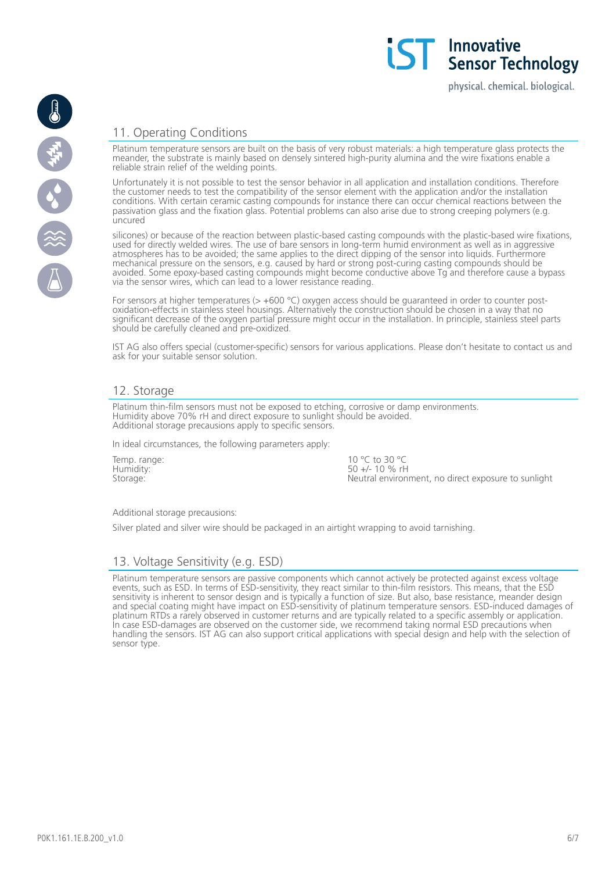physical. chemical. biological.

## 11. Operating Conditions

Platinum temperature sensors are built on the basis of very robust materials: a high temperature glass protects the meander, the substrate is mainly based on densely sintered high-purity alumina and the wire fixations enable a reliable strain relief of the welding points.

Unfortunately it is not possible to test the sensor behavior in all application and installation conditions. Therefore the customer needs to test the compatibility of the sensor element with the application and/or the installation conditions. With certain ceramic casting compounds for instance there can occur chemical reactions between the passivation glass and the fixation glass. Potential problems can also arise due to strong creeping polymers (e.g. uncured

silicones) or because of the reaction between plastic-based casting compounds with the plastic-based wire fixations, used for directly welded wires. The use of bare sensors in long-term humid environment as well as in aggressive atmospheres has to be avoided; the same applies to the direct dipping of the sensor into liquids. Furthermore mechanical pressure on the sensors, e.g. caused by hard or strong post-curing casting compounds should be avoided. Some epoxy-based casting compounds might become conductive above Tg and therefore cause a bypass via the sensor wires, which can lead to a lower resistance reading.

For sensors at higher temperatures ( $> +600$  °C) oxygen access should be guaranteed in order to counter postoxidation-effects in stainless steel housings. Alternatively the construction should be chosen in a way that no significant decrease of the oxygen partial pressure might occur in the installation. In principle, stainless steel parts should be carefully cleaned and pre-oxidized.

IST AG also offers special (customer-specific) sensors for various applications. Please don't hesitate to contact us and ask for your suitable sensor solution.

## 12. Storage

Platinum thin-film sensors must not be exposed to etching, corrosive or damp environments. Humidity above 70% rH and direct exposure to sunlight should be avoided. Additional storage precausions apply to specific sensors.

In ideal circumstances, the following parameters apply:

Temp. range: Humidity: Storage:

10 °C to 30 °C  $50 +/- 10 \%$  rH Neutral environment, no direct exposure to sunlight

#### Additional storage precausions:

Silver plated and silver wire should be packaged in an airtight wrapping to avoid tarnishing.

## 13. Voltage Sensitivity (e.g. ESD)

Platinum temperature sensors are passive components which cannot actively be protected against excess voltage events, such as ESD. In terms of ESD-sensitivity, they react similar to thin-film resistors. This means, that the ESD sensitivity is inherent to sensor design and is typically a function of size. But also, base resistance, meander design and special coating might have impact on ESD-sensitivity of platinum temperature sensors. ESD-induced damages of platinum RTDs a rarely observed in customer returns and are typically related to a specific assembly or application. In case ESD-damages are observed on the customer side, we recommend taking normal ESD precautions when handling the sensors. IST AG can also support critical applications with special design and help with the selection of sensor type.